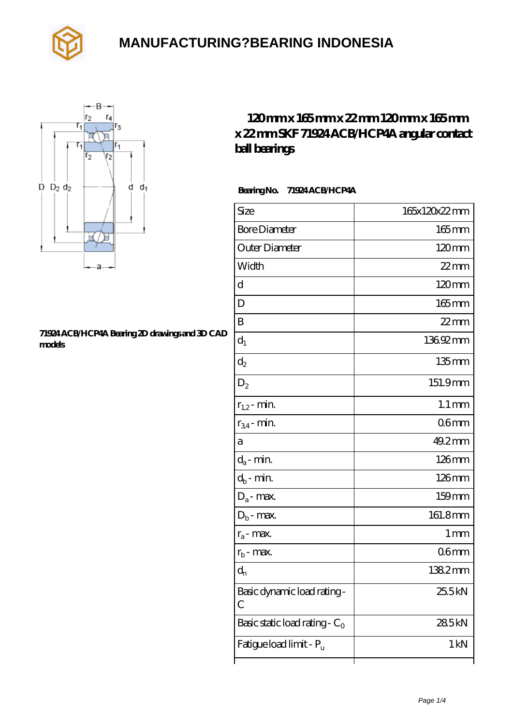



#### **[71924 ACB/HCP4A Bearing 2D drawings and 3D CAD](https://ctrciec.cn/pic-151799.html) [models](https://ctrciec.cn/pic-151799.html)**

#### **[120 mm x 165 mm x 22 mm 120 mm x 165 mm](https://ctrciec.cn/az-151799-skf-71924-acb-hcp4a-angular-contact-ball-bearings.html) [x 22 mm SKF 71924 ACB/HCP4A angular contact](https://ctrciec.cn/az-151799-skf-71924-acb-hcp4a-angular-contact-ball-bearings.html) [ball bearings](https://ctrciec.cn/az-151799-skf-71924-acb-hcp4a-angular-contact-ball-bearings.html)**

 **Bearing No. 71924 ACB/HCP4A**

| Size                             | 165x120x22mm        |
|----------------------------------|---------------------|
| <b>Bore Diameter</b>             | $165$ mm            |
| Outer Diameter                   | $120 \text{mm}$     |
| Width                            | $22$ mm             |
| d                                | 120mm               |
| D                                | 165mm               |
| B                                | $22$ mm             |
| $d_1$                            | 13692mm             |
| $\mathrm{d}_2$                   | $135$ mm            |
| $D_2$                            | 151.9mm             |
| $r_{1,2}$ - min.                 | $1.1 \,\mathrm{mm}$ |
| $r_{34}$ - min.                  | 06 <sub>mm</sub>    |
| a                                | 49.2mm              |
| $d_a$ - min.                     | 126mm               |
| $d_b$ - min.                     | 126mm               |
| $D_a$ - max.                     | 159mm               |
| $D_b$ - max.                     | 161.8mm             |
| $r_a$ - max.                     | 1 <sub>mm</sub>     |
| $r_{b}$ - max.                   | 06mm                |
| $d_n$                            | 1382mm              |
| Basic dynamic load rating-<br>С  | 25.5kN              |
| Basic static load rating - $C_0$ | 285kN               |
| Fatigue load limit - Pu          | 1 kN                |
|                                  |                     |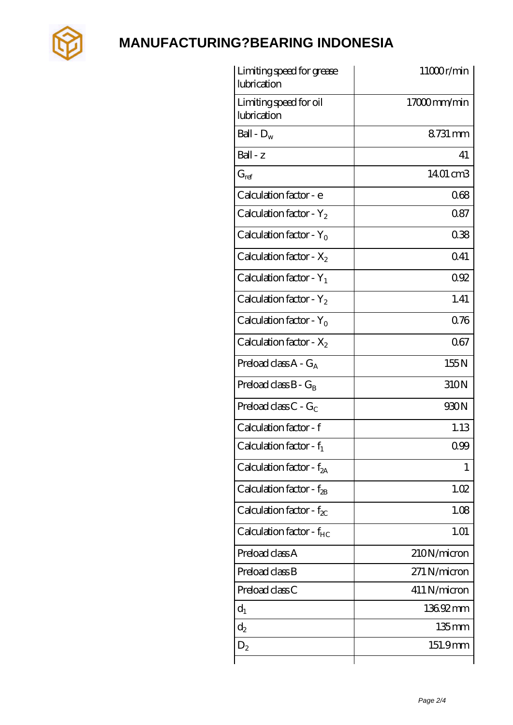

| Limiting speed for grease<br>lubrication | 11000r/min   |
|------------------------------------------|--------------|
| Limiting speed for oil<br>lubrication    | 17000mm/min  |
| Ball - $D_w$                             | 8731 mm      |
| Ball - z                                 | 41           |
| $G_{ref}$                                | 1401 cm3     |
| Calculation factor - e                   | 068          |
| Calculation factor - $Y_2$               | 087          |
| Calculation factor - $Y_0$               | 038          |
| Calculation factor - $X_2$               | Q41          |
| Calculation factor - $Y_1$               | 092          |
| Calculation factor - $Y_2$               | 1.41         |
| Calculation factor - $Y_0$               | 0.76         |
| Calculation factor - $X_2$               | 067          |
| Preload class $A - G_A$                  | 155N         |
| Preload class $B - G_B$                  | 310N         |
| Preload class C - $G_C$                  | 930N         |
| Calculation factor - f                   | 1.13         |
| Calculation factor - $f_1$               | 099          |
| Calculation factor - $f_{2A}$            | 1            |
| Calculation factor - $f_{\rm 2B}$        | 1.02         |
| Calculation factor - $f_{\chi}$          | 1.08         |
| Calculation factor - $f_{HC}$            | 1.01         |
| Preload class A                          | 210N/micron  |
| Preload class B                          | 271 N/micron |
| Preload class C                          | 411 N/micron |
| $d_1$                                    | 136.92mm     |
| $d_2$                                    | 135mm        |
| $D_2$                                    | 151.9mm      |
|                                          |              |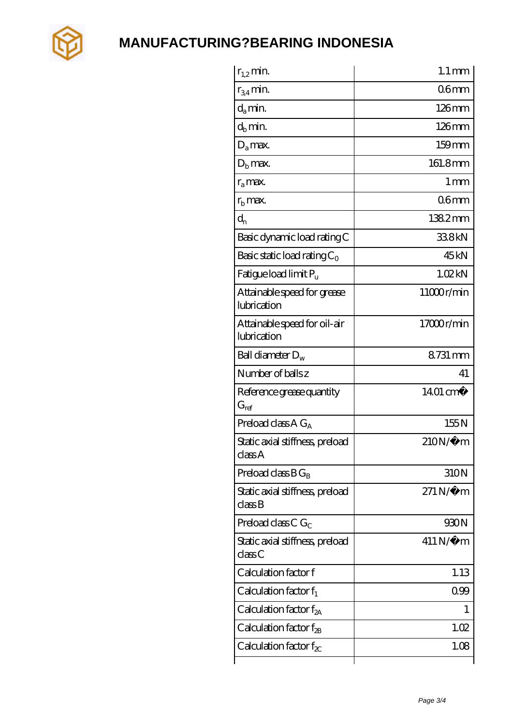

| $r_{1,2}$ min.                              | $1.1 \,\mathrm{mm}$    |
|---------------------------------------------|------------------------|
| $r_{34}$ min.                               | 06 <sub>mm</sub>       |
| $d_a$ min.                                  | $126$ mm               |
| $d_h$ min.                                  | $126$ mm               |
| $D_a$ max.                                  | $159$ mm               |
| $Db$ max.                                   | 161.8mm                |
| $r_a$ max.                                  | $1 \,\mathrm{mm}$      |
| $r_{\rm b}$ max.                            | 06 <sub>mm</sub>       |
| $d_{n}$                                     | 1382mm                 |
| Basic dynamic load rating C                 | 338kN                  |
| Basic static load rating $C_0$              | 45 <sub>kN</sub>       |
| Fatigue load limit Pu                       | 1.02kN                 |
| Attainable speed for grease<br>lubrication  | 11000r/min             |
| Attainable speed for oil-air<br>lubrication | 17000r/min             |
| Ball diameter $D_w$                         | 8731 mm                |
| Number of balls z                           | 41                     |
| Reference grease quantity<br>$G_{ref}$      | $1401 \text{ cm}^3$    |
| Preload class A $G_A$                       | 155N                   |
| Static axial stiffness, preload<br>classA   | $210N/\mu$ m           |
| Preload class $BG_R$                        | 310N                   |
| Static axial stiffness, preload<br>classB   | $271\,\mathrm{N}\mu$ m |
| Preload class C $G_C$                       | 930N                   |
| Static axial stiffness, preload<br>classC   | $411N/\mu$ m           |
| Calculation factor f                        | 1.13                   |
| Calculation factor $f_1$                    | 099                    |
| Calculation factor $f_{2A}$                 | 1                      |
| Calculation factor $f_{\mathcal{B}}$        | 1.02                   |
| Calculation factor $f_{\chi}$               | 1.08                   |
|                                             |                        |